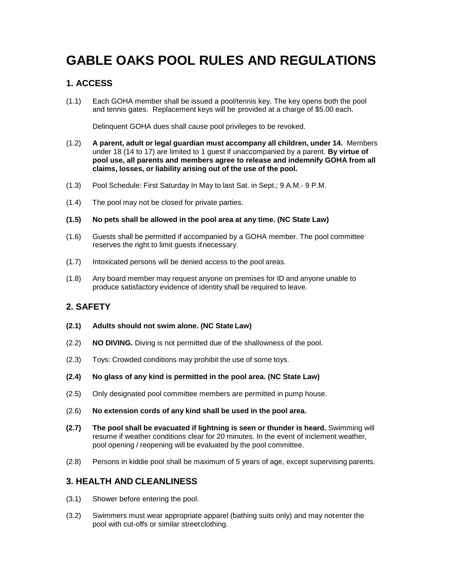# **GABLE OAKS POOL RULES AND REGULATIONS**

## **1. ACCESS**

(1.1) Each GOHA member shall be issued a pool/tennis key. The key opens both the pool and tennis gates. Replacement keys will be provided at a charge of \$5.00 each.

Delinquent GOHA dues shall cause pool privileges to be revoked.

- (1.2) **A parent, adult or legal guardian must accompany all children, under 14.** Members under 18 (14 to 17) are limited to 1 guest if unaccompanied by a parent. **By virtue of pool use, all parents and members agree to release and indemnify GOHA from all claims, losses, or liability arising out of the use of the pool.**
- (1.3) Pool Schedule: First Saturday In May to last Sat. in Sept.; 9 A.M.- 9 P.M.
- (1.4) The pool may not be closed for private parties.

#### **(1.5) No pets shall be allowed in the pool area at any time. (NC State Law)**

- (1.6) Guests shall be permitted if accompanied by a GOHA member. The pool committee reserves the right to limit guests ifnecessary.
- (1.7) Intoxicated persons will be denied access to the pool areas.
- (1.8) Any board member may request anyone on premises for ID and anyone unable to produce satisfactory evidence of identity shall be required to leave.

## **2. SAFETY**

- **(2.1) Adults should not swim alone. (NC State Law)**
- (2.2) **NO DIVING.** Diving is not permitted due of the shallowness of the pool.
- (2.3) Toys: Crowded conditions may prohibit the use of some toys.
- **(2.4) No glass of any kind is permitted in the pool area. (NC State Law)**
- (2.5) Only designated pool committee members are permitted in pump house.
- (2.6) **No extension cords of any kind shall be used in the pool area.**
- **(2.7) The pool shall be evacuated if lightning is seen or thunder is heard.** Swimming will resume if weather conditions clear for 20 minutes. In the event of inclement weather, pool opening / reopening will be evaluated by the pool committee.
- (2.8) Persons in kiddie pool shall be maximum of 5 years of age, except supervising parents.

### **3. HEALTH AND CLEANLINESS**

- (3.1) Shower before entering the pool.
- (3.2) Swimmers must wear appropriate apparel (bathing suits only) and may notenter the pool with cut-offs or similar streetclothing.